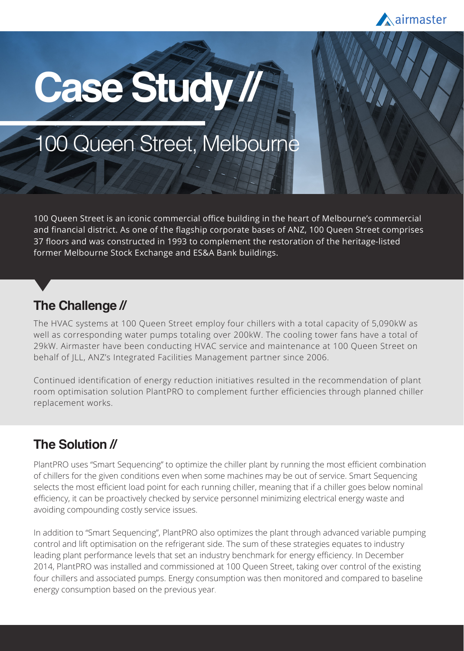

# **Case Study //**

## 100 Queen Street, Melbourne

100 Queen Street is an iconic commercial office building in the heart of Melbourne's commercial and financial district. As one of the flagship corporate bases of ANZ, 100 Queen Street comprises 37 floors and was constructed in 1993 to complement the restoration of the heritage-listed former Melbourne Stock Exchange and ES&A Bank buildings.

#### **The Challenge //**

The HVAC systems at 100 Queen Street employ four chillers with a total capacity of 5,090kW as well as corresponding water pumps totaling over 200kW. The cooling tower fans have a total of 29kW. Airmaster have been conducting HVAC service and maintenance at 100 Queen Street on behalf of JLL, ANZ's Integrated Facilities Management partner since 2006.

Continued identification of energy reduction initiatives resulted in the recommendation of plant room optimisation solution PlantPRO to complement further efficiencies through planned chiller replacement works.

#### **The Solution //**

PlantPRO uses "Smart Sequencing" to optimize the chiller plant by running the most efficient combination of chillers for the given conditions even when some machines may be out of service. Smart Sequencing selects the most efficient load point for each running chiller, meaning that if a chiller goes below nominal efficiency, it can be proactively checked by service personnel minimizing electrical energy waste and avoiding compounding costly service issues.

In addition to "Smart Sequencing", PlantPRO also optimizes the plant through advanced variable pumping control and lift optimisation on the refrigerant side. The sum of these strategies equates to industry leading plant performance levels that set an industry benchmark for energy efficiency. In December 2014, PlantPRO was installed and commissioned at 100 Queen Street, taking over control of the existing four chillers and associated pumps. Energy consumption was then monitored and compared to baseline energy consumption based on the previous year.